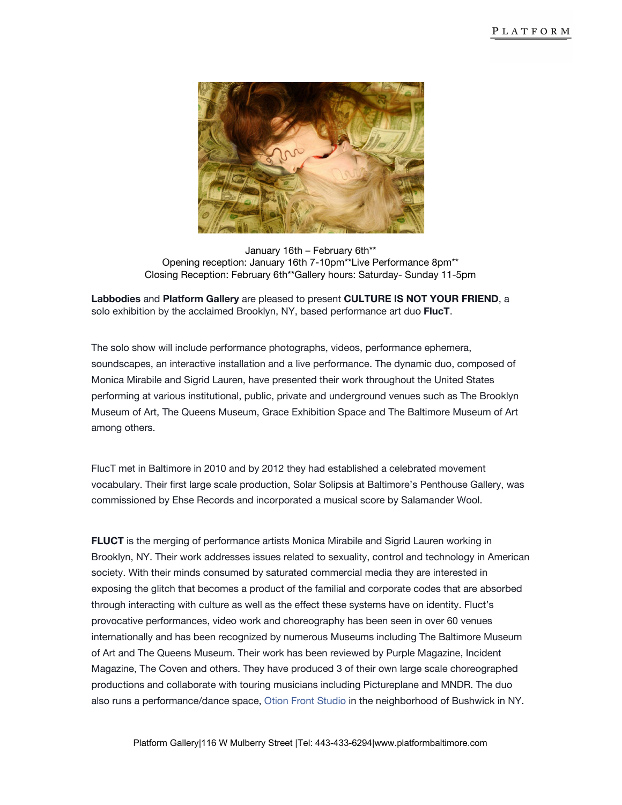

January 16th – February 6th\*\* Opening reception: January 16th 7-10pm\*\*Live Performance 8pm\*\* Closing Reception: February 6th\*\*Gallery hours: Saturday- Sunday 11-5pm

**Labbodies**and **Platform Gallery**are pleased to present **CULTURE IS NOT YOUR FRIEND**, a solo exhibition by the acclaimed Brooklyn, NY, based performance art duo **FlucT**.

The solo show will include performance photographs, videos, performance ephemera, soundscapes, an interactive installation and a live performance. The dynamic duo, composed of Monica Mirabile and Sigrid Lauren, have presented their work throughout the United States performing at various institutional, public, private and underground venues such as The Brooklyn Museum of Art, The Queens Museum, Grace Exhibition Space and The Baltimore Museum of Art among others.

FlucT met in Baltimore in 2010 and by 2012 they had established a celebrated movement vocabulary. Their first large scale production, Solar Solipsis at Baltimore's Penthouse Gallery, was commissioned by Ehse Records and incorporated a musical score by Salamander Wool.

**FLUCT** is the merging of performance artists Monica Mirabile and Sigrid Lauren working in Brooklyn, NY. Their work addresses issues related to sexuality, control and technology in American society. With their minds consumed by saturated commercial media they are interested in exposing the glitch that becomes a product of the familial and corporate codes that are absorbed through interacting with culture as well as the effect these systems have on identity. Fluct's provocative performances, video work and choreography has been seen in over 60 venues internationally and has been recognized by numerous Museums including The Baltimore Museum of Art and The Queens Museum. Their work has been reviewed by Purple Magazine, Incident Magazine, The Coven and others. They have produced 3 of their own large scale choreographed productions and collaborate with touring musicians including Pictureplane and MNDR. The duo also runs a performance/dance space, Otion Front [Studio](https://www.facebook.com/Otionfrontstudio/) in the neighborhood of Bushwick in NY.

Platform Gallery|116 W Mulberry Street |Tel: 443-433-6294|www.platformbaltimore.com